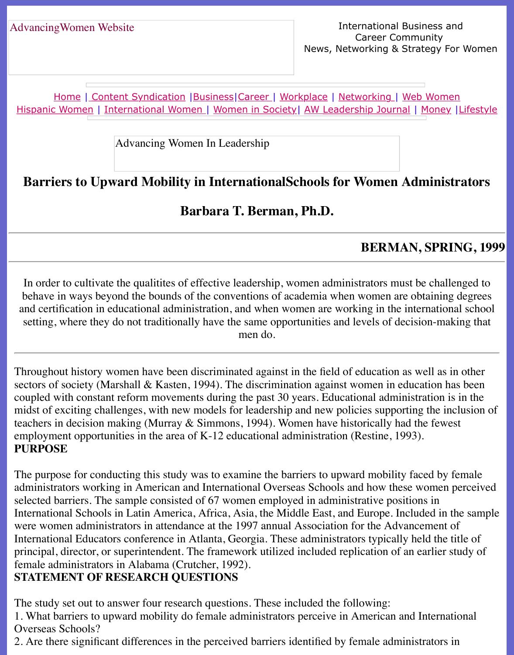Home | Content Syndication | Business | Career | Workplace | Networking | Web Wo Hispanic Women | International Women | Women in Society | AW Leadership Journal | Mon

Advancing Women In Leadership

# **Barr[iers to](http://www.advancingwomen.com/index.html) [Upward Mobility](file:///content.html) [in Inte](file:///business.html)[rnation](file:///awcareer.html)[alSchools](file:///workplace.html) f[or Women](file:///networks.html) [Administr](file:///web.html)ational Schools**

**Barbara T. Berman, Ph.D.**

## **BERMAN, SP**

In order to cultivate the qualitites of effective leadership, women administrators must be challenged to behave in ways beyond the bounds of the conventions of academia when women are obtain and certification in educational administration, and when women are working in the interna setting, where they do not traditionally have the same opportunities and levels of decisionmen do.

Throughout history women have been discriminated against in the field of education as well sectors of society (Marshall & Kasten, 1994). The discrimination against women in education coupled with constant reform movements during the past 30 years. Educational administration midst of exciting challenges, with new models for leadership and new policies supporting the teachers in decision making (Murray  $&$  Simmons, 1994). Women have historically had the form employment opportunities in the area of K-12 educational administration (Restine, 1993). **PURPOSE**

The purpose for conducting this study was to examine the barriers to upward mobility faced administrators working in American and International Overseas Schools and how these wom selected barriers. The sample consisted of 67 women employed in administrative positions in International Schools in Latin America, Africa, Asia, the Middle East, and Europe. Included were women administrators in attendance at the 1997 annual Association for the Advancement International Educators conference in Atlanta, Georgia. These administrators typically held t principal, director, or superintendent. The framework utilized included replication of an earli female administrators in Alabama (Crutcher, 1992).

### **STATEMENT OF RESEARCH QUESTIONS**

The study set out to answer four research questions. These included the following:

1. What barriers to upward mobility do female administrators perceive in American and Inte Overseas Schools?

2. Are there significant differences in the perceived barriers identified by female administrators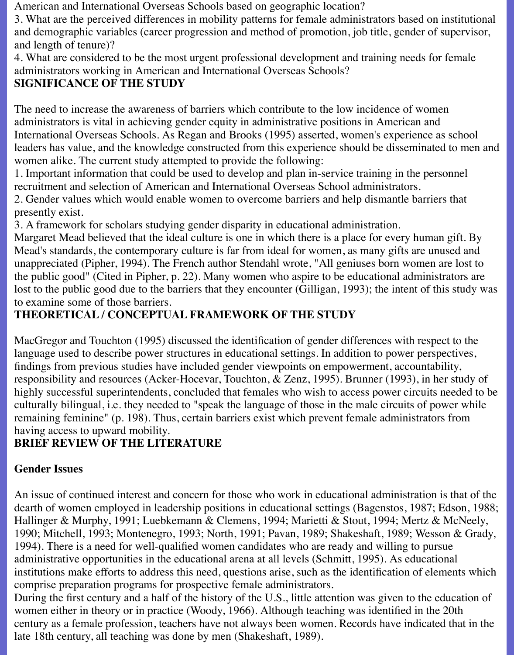American and International Overseas Schools based on geographic location?

3. What are the perceived differences in mobility patterns for female administrators based on institutional and demographic variables (career progression and method of promotion, job title, gender of supervisor, and length of tenure)?

4. What are considered to be the most urgent professional development and training needs for female administrators working in American and International Overseas Schools?

### **SIGNIFICANCE OF THE STUDY**

The need to increase the awareness of barriers which contribute to the low incidence of women administrators is vital in achieving gender equity in administrative positions in American and International Overseas Schools. As Regan and Brooks (1995) asserted, women's experience as school leaders has value, and the knowledge constructed from this experience should be disseminated to men and women alike. The current study attempted to provide the following:

1. Important information that could be used to develop and plan in-service training in the personnel recruitment and selection of American and International Overseas School administrators.

2. Gender values which would enable women to overcome barriers and help dismantle barriers that presently exist.

3. A framework for scholars studying gender disparity in educational administration.

Margaret Mead believed that the ideal culture is one in which there is a place for every human gift. By Mead's standards, the contemporary culture is far from ideal for women, as many gifts are unused and unappreciated (Pipher, 1994). The French author Stendahl wrote, "All geniuses born women are lost to the public good" (Cited in Pipher, p. 22). Many women who aspire to be educational administrators are lost to the public good due to the barriers that they encounter (Gilligan, 1993); the intent of this study was to examine some of those barriers.

## **THEORETICAL / CONCEPTUAL FRAMEWORK OF THE STUDY**

MacGregor and Touchton (1995) discussed the identification of gender differences with respect to the language used to describe power structures in educational settings. In addition to power perspectives, findings from previous studies have included gender viewpoints on empowerment, accountability, responsibility and resources (Acker-Hocevar, Touchton, & Zenz, 1995). Brunner (1993), in her study of highly successful superintendents, concluded that females who wish to access power circuits needed to be culturally bilingual, i.e. they needed to "speak the language of those in the male circuits of power while remaining feminine" (p. 198). Thus, certain barriers exist which prevent female administrators from having access to upward mobility.

## **BRIEF REVIEW OF THE LITERATURE**

### **Gender Issues**

An issue of continued interest and concern for those who work in educational administration is that of the dearth of women employed in leadership positions in educational settings (Bagenstos, 1987; Edson, 1988; Hallinger & Murphy, 1991; Luebkemann & Clemens, 1994; Marietti & Stout, 1994; Mertz & McNeely, 1990; Mitchell, 1993; Montenegro, 1993; North, 1991; Pavan, 1989; Shakeshaft, 1989; Wesson & Grady, 1994). There is a need for well-qualified women candidates who are ready and willing to pursue administrative opportunities in the educational arena at all levels (Schmitt, 1995). As educational institutions make efforts to address this need, questions arise, such as the identification of elements which comprise preparation programs for prospective female administrators.

During the first century and a half of the history of the U.S., little attention was given to the education of women either in theory or in practice (Woody, 1966). Although teaching was identified in the 20th century as a female profession, teachers have not always been women. Records have indicated that in the late 18th century, all teaching was done by men (Shakeshaft, 1989).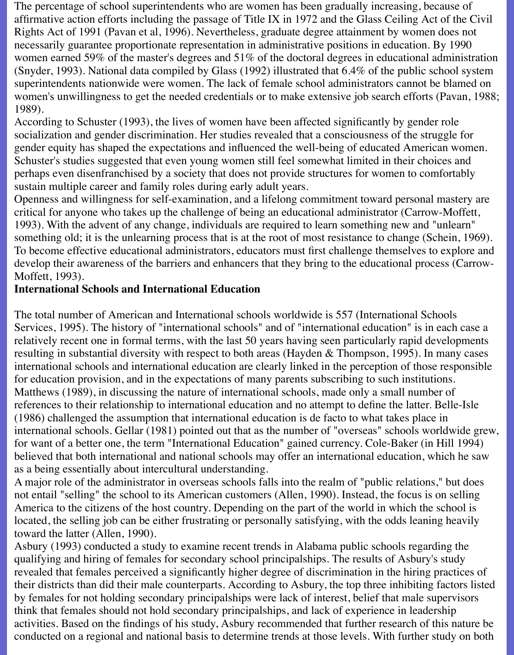The percentage of school superintendents who are women has been gradually increasing, because of affirmative action efforts including the passage of Title IX in 1972 and the Glass Ceiling Act of the Civil Rights Act of 1991 (Pavan et al, 1996). Nevertheless, graduate degree attainment by women does not necessarily guarantee proportionate representation in administrative positions in education. By 1990 women earned 59% of the master's degrees and 51% of the doctoral degrees in educational administration (Snyder, 1993). National data compiled by Glass (1992) illustrated that 6.4% of the public school system superintendents nationwide were women. The lack of female school administrators cannot be blamed on women's unwillingness to get the needed credentials or to make extensive job search efforts (Pavan, 1988; 1989).

According to Schuster (1993), the lives of women have been affected significantly by gender role socialization and gender discrimination. Her studies revealed that a consciousness of the struggle for gender equity has shaped the expectations and influenced the well-being of educated American women. Schuster's studies suggested that even young women still feel somewhat limited in their choices and perhaps even disenfranchised by a society that does not provide structures for women to comfortably sustain multiple career and family roles during early adult years.

Openness and willingness for self-examination, and a lifelong commitment toward personal mastery are critical for anyone who takes up the challenge of being an educational administrator (Carrow-Moffett, 1993). With the advent of any change, individuals are required to learn something new and "unlearn" something old; it is the unlearning process that is at the root of most resistance to change (Schein, 1969). To become effective educational administrators, educators must first challenge themselves to explore and develop their awareness of the barriers and enhancers that they bring to the educational process (Carrow-Moffett, 1993).

#### **International Schools and International Education**

The total number of American and International schools worldwide is 557 (International Schools Services, 1995). The history of "international schools" and of "international education" is in each case a relatively recent one in formal terms, with the last 50 years having seen particularly rapid developments resulting in substantial diversity with respect to both areas (Hayden & Thompson, 1995). In many cases international schools and international education are clearly linked in the perception of those responsible for education provision, and in the expectations of many parents subscribing to such institutions. Matthews (1989), in discussing the nature of international schools, made only a small number of references to their relationship to international education and no attempt to define the latter. Belle-Isle (1986) challenged the assumption that international education is de facto to what takes place in international schools. Gellar (1981) pointed out that as the number of "overseas" schools worldwide grew, for want of a better one, the term "International Education" gained currency. Cole-Baker (in Hill 1994) believed that both international and national schools may offer an international education, which he saw as a being essentially about intercultural understanding.

A major role of the administrator in overseas schools falls into the realm of "public relations," but does not entail "selling" the school to its American customers (Allen, 1990). Instead, the focus is on selling America to the citizens of the host country. Depending on the part of the world in which the school is located, the selling job can be either frustrating or personally satisfying, with the odds leaning heavily toward the latter (Allen, 1990).

Asbury (1993) conducted a study to examine recent trends in Alabama public schools regarding the qualifying and hiring of females for secondary school principalships. The results of Asbury's study revealed that females perceived a significantly higher degree of discrimination in the hiring practices of their districts than did their male counterparts. According to Asbury, the top three inhibiting factors listed by females for not holding secondary principalships were lack of interest, belief that male supervisors think that females should not hold secondary principalships, and lack of experience in leadership activities. Based on the findings of his study, Asbury recommended that further research of this nature be conducted on a regional and national basis to determine trends at those levels. With further study on both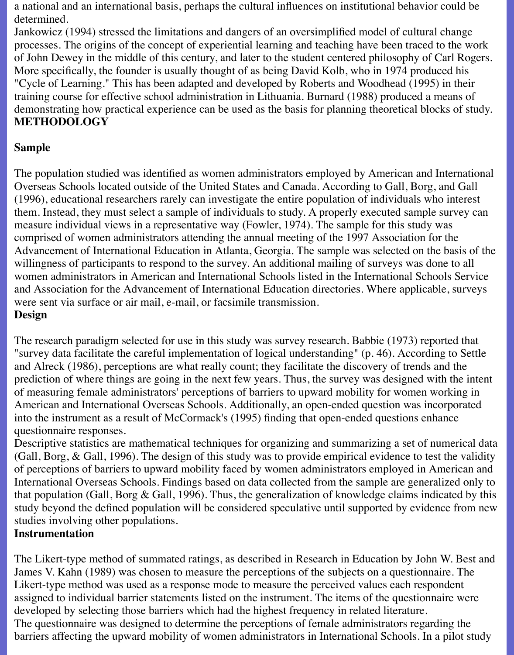a national and an international basis, perhaps the cultural influences on institutional behavior could be determined.

Jankowicz (1994) stressed the limitations and dangers of an oversimplified model of cultural change processes. The origins of the concept of experiential learning and teaching have been traced to the work of John Dewey in the middle of this century, and later to the student centered philosophy of Carl Rogers. More specifically, the founder is usually thought of as being David Kolb, who in 1974 produced his "Cycle of Learning." This has been adapted and developed by Roberts and Woodhead (1995) in their training course for effective school administration in Lithuania. Burnard (1988) produced a means of demonstrating how practical experience can be used as the basis for planning theoretical blocks of study. **METHODOLOGY**

### **Sample**

The population studied was identified as women administrators employed by American and International Overseas Schools located outside of the United States and Canada. According to Gall, Borg, and Gall (1996), educational researchers rarely can investigate the entire population of individuals who interest them. Instead, they must select a sample of individuals to study. A properly executed sample survey can measure individual views in a representative way (Fowler, 1974). The sample for this study was comprised of women administrators attending the annual meeting of the 1997 Association for the Advancement of International Education in Atlanta, Georgia. The sample was selected on the basis of the willingness of participants to respond to the survey. An additional mailing of surveys was done to all women administrators in American and International Schools listed in the International Schools Service and Association for the Advancement of International Education directories. Where applicable, surveys were sent via surface or air mail, e-mail, or facsimile transmission. **Design**

The research paradigm selected for use in this study was survey research. Babbie (1973) reported that "survey data facilitate the careful implementation of logical understanding" (p. 46). According to Settle and Alreck (1986), perceptions are what really count; they facilitate the discovery of trends and the prediction of where things are going in the next few years. Thus, the survey was designed with the intent of measuring female administrators' perceptions of barriers to upward mobility for women working in American and International Overseas Schools. Additionally, an open-ended question was incorporated into the instrument as a result of McCormack's (1995) finding that open-ended questions enhance questionnaire responses.

Descriptive statistics are mathematical techniques for organizing and summarizing a set of numerical data (Gall, Borg, & Gall, 1996). The design of this study was to provide empirical evidence to test the validity of perceptions of barriers to upward mobility faced by women administrators employed in American and International Overseas Schools. Findings based on data collected from the sample are generalized only to that population (Gall, Borg  $\&$  Gall, 1996). Thus, the generalization of knowledge claims indicated by this study beyond the defined population will be considered speculative until supported by evidence from new studies involving other populations.

#### **Instrumentation**

The Likert-type method of summated ratings, as described in Research in Education by John W. Best and James V. Kahn (1989) was chosen to measure the perceptions of the subjects on a questionnaire. The Likert-type method was used as a response mode to measure the perceived values each respondent assigned to individual barrier statements listed on the instrument. The items of the questionnaire were developed by selecting those barriers which had the highest frequency in related literature. The questionnaire was designed to determine the perceptions of female administrators regarding the barriers affecting the upward mobility of women administrators in International Schools. In a pilot study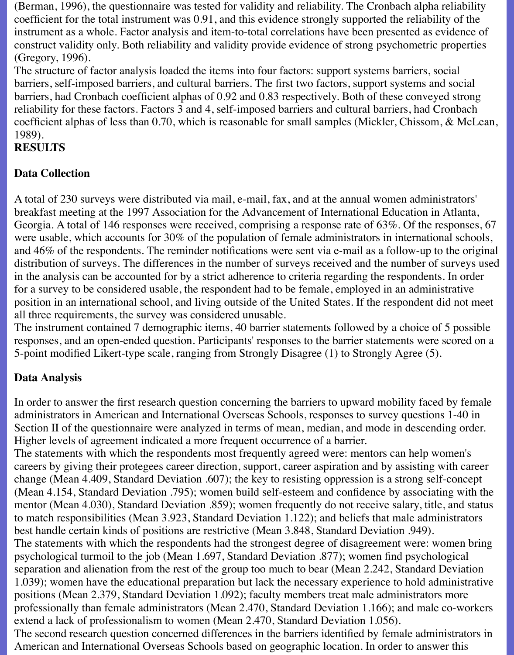(Berman, 1996), the questionnaire was tested for validity and reliability. The Cronbach alpha reliability coefficient for the total instrument was 0.91, and this evidence strongly supported the reliability of the instrument as a whole. Factor analysis and item-to-total correlations have been presented as evidence of construct validity only. Both reliability and validity provide evidence of strong psychometric properties (Gregory, 1996).

The structure of factor analysis loaded the items into four factors: support systems barriers, social barriers, self-imposed barriers, and cultural barriers. The first two factors, support systems and social barriers, had Cronbach coefficient alphas of 0.92 and 0.83 respectively. Both of these conveyed strong reliability for these factors. Factors 3 and 4, self-imposed barriers and cultural barriers, had Cronbach coefficient alphas of less than 0.70, which is reasonable for small samples (Mickler, Chissom, & McLean, 1989).

### **RESULTS**

#### **Data Collection**

A total of 230 surveys were distributed via mail, e-mail, fax, and at the annual women administrators' breakfast meeting at the 1997 Association for the Advancement of International Education in Atlanta, Georgia. A total of 146 responses were received, comprising a response rate of 63%. Of the responses, 67 were usable, which accounts for 30% of the population of female administrators in international schools, and 46% of the respondents. The reminder notifications were sent via e-mail as a follow-up to the original distribution of surveys. The differences in the number of surveys received and the number of surveys used in the analysis can be accounted for by a strict adherence to criteria regarding the respondents. In order for a survey to be considered usable, the respondent had to be female, employed in an administrative position in an international school, and living outside of the United States. If the respondent did not meet all three requirements, the survey was considered unusable.

The instrument contained 7 demographic items, 40 barrier statements followed by a choice of 5 possible responses, and an open-ended question. Participants' responses to the barrier statements were scored on a 5-point modified Likert-type scale, ranging from Strongly Disagree (1) to Strongly Agree (5).

#### **Data Analysis**

In order to answer the first research question concerning the barriers to upward mobility faced by female administrators in American and International Overseas Schools, responses to survey questions 1-40 in Section II of the questionnaire were analyzed in terms of mean, median, and mode in descending order. Higher levels of agreement indicated a more frequent occurrence of a barrier.

The statements with which the respondents most frequently agreed were: mentors can help women's careers by giving their protegees career direction, support, career aspiration and by assisting with career change (Mean 4.409, Standard Deviation .607); the key to resisting oppression is a strong self-concept (Mean 4.154, Standard Deviation .795); women build self-esteem and confidence by associating with the mentor (Mean 4.030), Standard Deviation .859); women frequently do not receive salary, title, and status to match responsibilities (Mean 3.923, Standard Deviation 1.122); and beliefs that male administrators best handle certain kinds of positions are restrictive (Mean 3.848, Standard Deviation .949). The statements with which the respondents had the strongest degree of disagreement were: women bring psychological turmoil to the job (Mean 1.697, Standard Deviation .877); women find psychological separation and alienation from the rest of the group too much to bear (Mean 2.242, Standard Deviation 1.039); women have the educational preparation but lack the necessary experience to hold administrative positions (Mean 2.379, Standard Deviation 1.092); faculty members treat male administrators more professionally than female administrators (Mean 2.470, Standard Deviation 1.166); and male co-workers extend a lack of professionalism to women (Mean 2.470, Standard Deviation 1.056). The second research question concerned differences in the barriers identified by female administrators in

American and International Overseas Schools based on geographic location. In order to answer this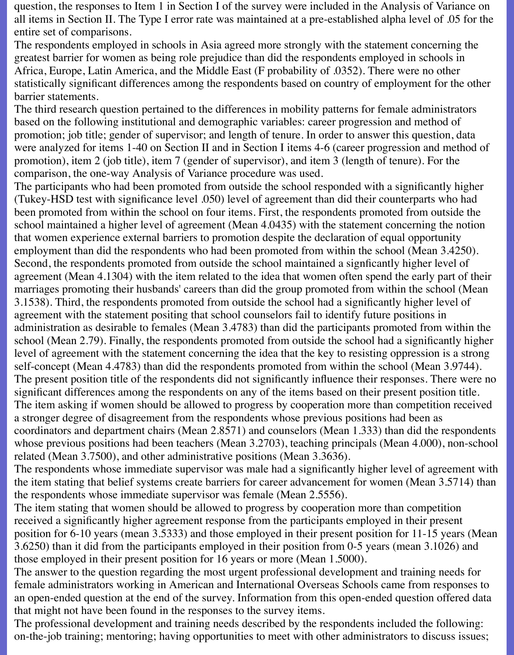question, the responses to Item 1 in Section I of the survey were included in the Analysis of Variance on all items in Section II. The Type I error rate was maintained at a pre-established alpha level of .05 for the entire set of comparisons.

The respondents employed in schools in Asia agreed more strongly with the statement concerning the greatest barrier for women as being role prejudice than did the respondents employed in schools in Africa, Europe, Latin America, and the Middle East (F probability of .0352). There were no other statistically significant differences among the respondents based on country of employment for the other barrier statements.

The third research question pertained to the differences in mobility patterns for female administrators based on the following institutional and demographic variables: career progression and method of promotion; job title; gender of supervisor; and length of tenure. In order to answer this question, data were analyzed for items 1-40 on Section II and in Section I items 4-6 (career progression and method of promotion), item 2 (job title), item 7 (gender of supervisor), and item 3 (length of tenure). For the comparison, the one-way Analysis of Variance procedure was used.

The participants who had been promoted from outside the school responded with a significantly higher (Tukey-HSD test with significance level .050) level of agreement than did their counterparts who had been promoted from within the school on four items. First, the respondents promoted from outside the school maintained a higher level of agreement (Mean 4.0435) with the statement concerning the notion that women experience external barriers to promotion despite the declaration of equal opportunity employment than did the respondents who had been promoted from within the school (Mean 3.4250). Second, the respondents promoted from outside the school maintained a signficantly higher level of agreement (Mean 4.1304) with the item related to the idea that women often spend the early part of their marriages promoting their husbands' careers than did the group promoted from within the school (Mean 3.1538). Third, the respondents promoted from outside the school had a significantly higher level of agreement with the statement positing that school counselors fail to identify future positions in administration as desirable to females (Mean 3.4783) than did the participants promoted from within the school (Mean 2.79). Finally, the respondents promoted from outside the school had a significantly higher level of agreement with the statement concerning the idea that the key to resisting oppression is a strong self-concept (Mean 4.4783) than did the respondents promoted from within the school (Mean 3.9744). The present position title of the respondents did not significantly influence their responses. There were no significant differences among the respondents on any of the items based on their present position title. The item asking if women should be allowed to progress by cooperation more than competition received a stronger degree of disagreement from the respondents whose previous positions had been as coordinators and department chairs (Mean 2.8571) and counselors (Mean 1.333) than did the respondents whose previous positions had been teachers (Mean 3.2703), teaching principals (Mean 4.000), non-school related (Mean 3.7500), and other administrative positions (Mean 3.3636).

The respondents whose immediate supervisor was male had a significantly higher level of agreement with the item stating that belief systems create barriers for career advancement for women (Mean 3.5714) than the respondents whose immediate supervisor was female (Mean 2.5556).

The item stating that women should be allowed to progress by cooperation more than competition received a significantly higher agreement response from the participants employed in their present position for 6-10 years (mean 3.5333) and those employed in their present position for 11-15 years (Mean 3.6250) than it did from the participants employed in their position from 0-5 years (mean 3.1026) and those employed in their present position for 16 years or more (Mean 1.5000).

The answer to the question regarding the most urgent professional development and training needs for female administrators working in American and International Overseas Schools came from responses to an open-ended question at the end of the survey. Information from this open-ended question offered data that might not have been found in the responses to the survey items.

The professional development and training needs described by the respondents included the following: on-the-job training; mentoring; having opportunities to meet with other administrators to discuss issues;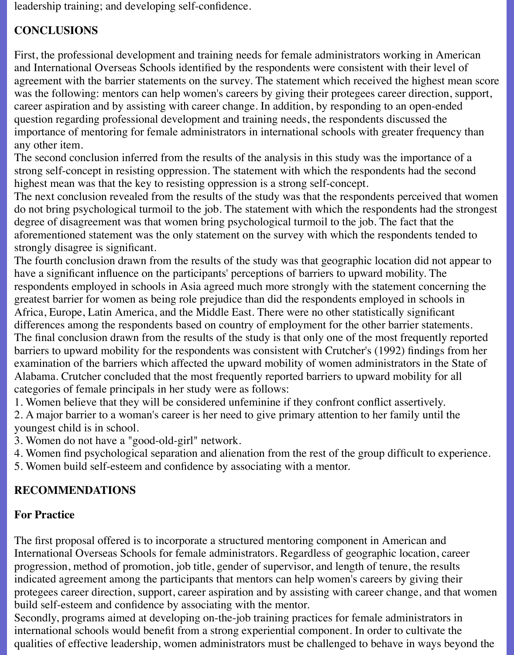leadership training; and developing self-confidence.

## **CONCLUSIONS**

First, the professional development and training needs for female administrators working in American and International Overseas Schools identified by the respondents were consistent with their level of agreement with the barrier statements on the survey. The statement which received the highest mean score was the following: mentors can help women's careers by giving their protegees career direction, support, career aspiration and by assisting with career change. In addition, by responding to an open-ended question regarding professional development and training needs, the respondents discussed the importance of mentoring for female administrators in international schools with greater frequency than any other item.

The second conclusion inferred from the results of the analysis in this study was the importance of a strong self-concept in resisting oppression. The statement with which the respondents had the second highest mean was that the key to resisting oppression is a strong self-concept.

The next conclusion revealed from the results of the study was that the respondents perceived that women do not bring psychological turmoil to the job. The statement with which the respondents had the strongest degree of disagreement was that women bring psychological turmoil to the job. The fact that the aforementioned statement was the only statement on the survey with which the respondents tended to strongly disagree is significant.

The fourth conclusion drawn from the results of the study was that geographic location did not appear to have a significant influence on the participants' perceptions of barriers to upward mobility. The respondents employed in schools in Asia agreed much more strongly with the statement concerning the greatest barrier for women as being role prejudice than did the respondents employed in schools in Africa, Europe, Latin America, and the Middle East. There were no other statistically significant differences among the respondents based on country of employment for the other barrier statements. The final conclusion drawn from the results of the study is that only one of the most frequently reported barriers to upward mobility for the respondents was consistent with Crutcher's (1992) findings from her examination of the barriers which affected the upward mobility of women administrators in the State of Alabama. Crutcher concluded that the most frequently reported barriers to upward mobility for all categories of female principals in her study were as follows:

1. Women believe that they will be considered unfeminine if they confront conflict assertively.

2. A major barrier to a woman's career is her need to give primary attention to her family until the youngest child is in school.

3. Women do not have a "good-old-girl" network.

- 4. Women find psychological separation and alienation from the rest of the group difficult to experience.
- 5. Women build self-esteem and confidence by associating with a mentor.

## **RECOMMENDATIONS**

### **For Practice**

The first proposal offered is to incorporate a structured mentoring component in American and International Overseas Schools for female administrators. Regardless of geographic location, career progression, method of promotion, job title, gender of supervisor, and length of tenure, the results indicated agreement among the participants that mentors can help women's careers by giving their protegees career direction, support, career aspiration and by assisting with career change, and that women build self-esteem and confidence by associating with the mentor.

Secondly, programs aimed at developing on-the-job training practices for female administrators in international schools would benefit from a strong experiential component. In order to cultivate the qualities of effective leadership, women administrators must be challenged to behave in ways beyond the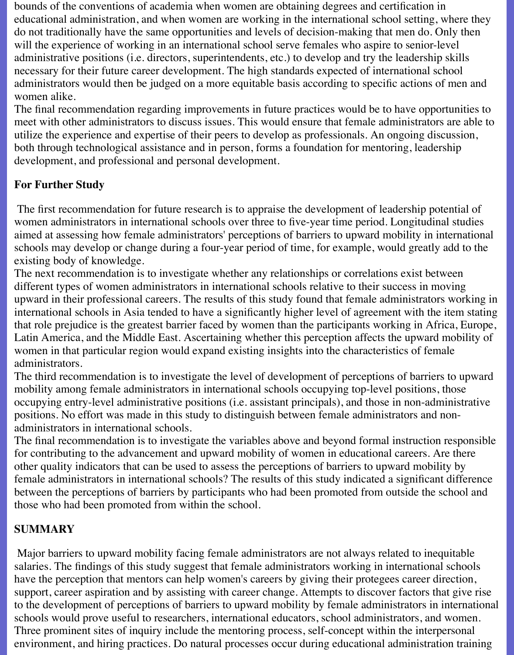bounds of the conventions of academia when women are obtaining degrees and certification in educational administration, and when women are working in the international school setting, where they do not traditionally have the same opportunities and levels of decision-making that men do. Only then will the experience of working in an international school serve females who aspire to senior-level administrative positions (i.e. directors, superintendents, etc.) to develop and try the leadership skills necessary for their future career development. The high standards expected of international school administrators would then be judged on a more equitable basis according to specific actions of men and women alike.

The final recommendation regarding improvements in future practices would be to have opportunities to meet with other administrators to discuss issues. This would ensure that female administrators are able to utilize the experience and expertise of their peers to develop as professionals. An ongoing discussion, both through technological assistance and in person, forms a foundation for mentoring, leadership development, and professional and personal development.

### **For Further Study**

 The first recommendation for future research is to appraise the development of leadership potential of women administrators in international schools over three to five-year time period. Longitudinal studies aimed at assessing how female administrators' perceptions of barriers to upward mobility in international schools may develop or change during a four-year period of time, for example, would greatly add to the existing body of knowledge.

The next recommendation is to investigate whether any relationships or correlations exist between different types of women administrators in international schools relative to their success in moving upward in their professional careers. The results of this study found that female administrators working in international schools in Asia tended to have a significantly higher level of agreement with the item stating that role prejudice is the greatest barrier faced by women than the participants working in Africa, Europe, Latin America, and the Middle East. Ascertaining whether this perception affects the upward mobility of women in that particular region would expand existing insights into the characteristics of female administrators.

The third recommendation is to investigate the level of development of perceptions of barriers to upward mobility among female administrators in international schools occupying top-level positions, those occupying entry-level administrative positions (i.e. assistant principals), and those in non-administrative positions. No effort was made in this study to distinguish between female administrators and nonadministrators in international schools.

The final recommendation is to investigate the variables above and beyond formal instruction responsible for contributing to the advancement and upward mobility of women in educational careers. Are there other quality indicators that can be used to assess the perceptions of barriers to upward mobility by female administrators in international schools? The results of this study indicated a significant difference between the perceptions of barriers by participants who had been promoted from outside the school and those who had been promoted from within the school.

### **SUMMARY**

 Major barriers to upward mobility facing female administrators are not always related to inequitable salaries. The findings of this study suggest that female administrators working in international schools have the perception that mentors can help women's careers by giving their protegees career direction, support, career aspiration and by assisting with career change. Attempts to discover factors that give rise to the development of perceptions of barriers to upward mobility by female administrators in international schools would prove useful to researchers, international educators, school administrators, and women. Three prominent sites of inquiry include the mentoring process, self-concept within the interpersonal environment, and hiring practices. Do natural processes occur during educational administration training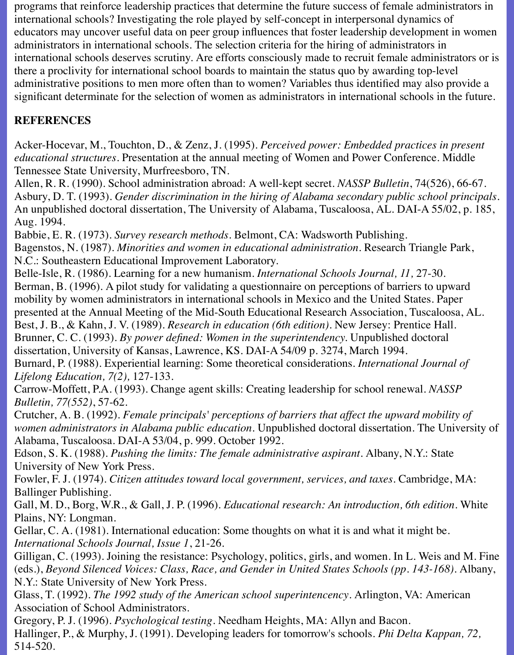programs that reinforce leadership practices that determine the future success of female administrators in international schools? Investigating the role played by self-concept in interpersonal dynamics of educators may uncover useful data on peer group influences that foster leadership development in women administrators in international schools. The selection criteria for the hiring of administrators in international schools deserves scrutiny. Are efforts consciously made to recruit female administrators or is there a proclivity for international school boards to maintain the status quo by awarding top-level administrative positions to men more often than to women? Variables thus identified may also provide a significant determinate for the selection of women as administrators in international schools in the future.

## **REFERENCES**

Acker-Hocevar, M., Touchton, D., & Zenz, J. (1995). *Perceived power: Embedded practices in present educational structures.* Presentation at the annual meeting of Women and Power Conference. Middle Tennessee State University, Murfreesboro, TN.

Allen, R. R. (1990). School administration abroad: A well-kept secret. *NASSP Bulletin*, 74(526), 66-67. Asbury, D. T. (1993). *Gender discrimination in the hiring of Alabama secondary public school principals*. An unpublished doctoral dissertation, The University of Alabama, Tuscaloosa, AL. DAI-A 55/02, p. 185, Aug. 1994.

Babbie, E. R. (1973). *Survey research methods.* Belmont, CA: Wadsworth Publishing. Bagenstos, N. (1987). *Minorities and women in educational administration.* Research Triangle Park, N.C.: Southeastern Educational Improvement Laboratory.

Belle-Isle, R. (1986). Learning for a new humanism. *International Schools Journal, 11,* 27-30. Berman, B. (1996). A pilot study for validating a questionnaire on perceptions of barriers to upward mobility by women administrators in international schools in Mexico and the United States. Paper presented at the Annual Meeting of the Mid-South Educational Research Association, Tuscaloosa, AL. Best, J. B., & Kahn, J. V. (1989). *Research in education (6th edition).* New Jersey: Prentice Hall. Brunner, C. C. (1993). *By power defined: Women in the superintendency.* Unpublished doctoral dissertation, University of Kansas, Lawrence, KS. DAI-A 54/09 p. 3274, March 1994. Burnard, P. (1988). Experiential learning: Some theoretical considerations. *International Journal of*

*Lifelong Education, 7(2),* 127-133.

Carrow-Moffett, P.A. (1993). Change agent skills: Creating leadership for school renewal. *NASSP Bulletin, 77(552)*, 57-62.

Crutcher, A. B. (1992). *Female principals' perceptions of barriers that affect the upward mobility of women administrators in Alabama public education.* Unpublished doctoral dissertation. The University of Alabama, Tuscaloosa. DAI-A 53/04, p. 999. October 1992.

Edson, S. K. (1988). *Pushing the limits: The female administrative aspirant.* Albany, N.Y.: State University of New York Press.

Fowler, F. J. (1974). *Citizen attitudes toward local government, services, and taxes.* Cambridge, MA: Ballinger Publishing.

Gall, M. D., Borg, W.R., & Gall, J. P. (1996). *Educational research: An introduction, 6th edition.* White Plains, NY: Longman.

Gellar, C. A. (1981). International education: Some thoughts on what it is and what it might be. *International Schools Journal, Issue 1*, 21-26.

Gilligan, C. (1993). Joining the resistance: Psychology, politics, girls, and women. In L. Weis and M. Fine (eds.), *Beyond Silenced Voices: Class, Race, and Gender in United States Schools (pp. 143-168)*. Albany, N.Y.: State University of New York Press.

Glass, T. (1992). *The 1992 study of the American school superintencency*. Arlington, VA: American Association of School Administrators.

Gregory, P. J. (1996). *Psychological testing.* Needham Heights, MA: Allyn and Bacon. Hallinger, P., & Murphy, J. (1991). Developing leaders for tomorrow's schools. *Phi Delta Kappan, 72,* 514-520.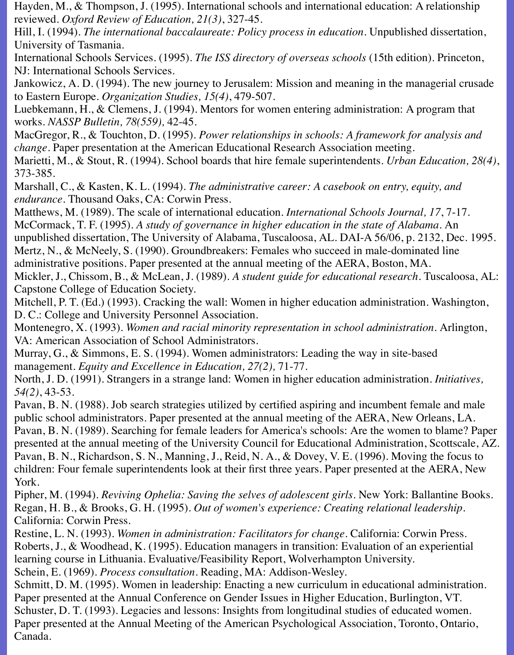Hayden, M., & Thompson, J. (1995). International schools and international education: A relationship reviewed. *Oxford Review of Education, 21(3)*, 327-45.

Hill, I. (1994). *The international baccalaureate: Policy process in education.* Unpublished dissertation, University of Tasmania.

International Schools Services. (1995). *The ISS directory of overseas schools* (15th edition). Princeton, NJ: International Schools Services.

Jankowicz, A. D. (1994). The new journey to Jerusalem: Mission and meaning in the managerial crusade to Eastern Europe. *Organization Studies, 15(4)*, 479-507.

Luebkemann, H., & Clemens, J. (1994). Mentors for women entering administration: A program that works. *NASSP Bulletin, 78(559),* 42-45.

MacGregor, R., & Touchton, D. (1995). *Power relationships in schools: A framework for analysis and change.* Paper presentation at the American Educational Research Association meeting.

Marietti, M., & Stout, R. (1994). School boards that hire female superintendents. *Urban Education, 28(4)*, 373-385.

Marshall, C., & Kasten, K. L. (1994). *The administrative career: A casebook on entry, equity, and endurance*. Thousand Oaks, CA: Corwin Press.

Matthews, M. (1989). The scale of international education. *International Schools Journal, 17*, 7-17. McCormack, T. F. (1995). *A study of governance in higher education in the state of Alabama.* An unpublished dissertation, The University of Alabama, Tuscaloosa, AL. DAI-A 56/06, p. 2132, Dec. 1995. Mertz, N., & McNeely, S. (1990). Groundbreakers: Females who succeed in male-dominated line administrative positions. Paper presented at the annual meeting of the AERA, Boston, MA.

Mickler, J., Chissom, B., & McLean, J. (1989). *A student guide for educational research*. Tuscaloosa, AL: Capstone College of Education Society.

Mitchell, P. T. (Ed.) (1993). Cracking the wall: Women in higher education administration. Washington, D. C.: College and University Personnel Association.

Montenegro, X. (1993). *Women and racial minority representation in school administration.* Arlington, VA: American Association of School Administrators.

Murray, G., & Simmons, E. S. (1994). Women administrators: Leading the way in site-based management. *Equity and Excellence in Education, 27(2),* 71-77.

North, J. D. (1991). Strangers in a strange land: Women in higher education administration. *Initiatives, 54(2)*, 43-53.

Pavan, B. N. (1988). Job search strategies utilized by certified aspiring and incumbent female and male public school administrators. Paper presented at the annual meeting of the AERA, New Orleans, LA. Pavan, B. N. (1989). Searching for female leaders for America's schools: Are the women to blame? Paper presented at the annual meeting of the University Council for Educational Administration, Scottscale, AZ. Pavan, B. N., Richardson, S. N., Manning, J., Reid, N. A., & Dovey, V. E. (1996). Moving the focus to children: Four female superintendents look at their first three years. Paper presented at the AERA, New York.

Pipher, M. (1994). *Reviving Ophelia: Saving the selves of adolescent girls.* New York: Ballantine Books. Regan, H. B., & Brooks, G. H. (1995). *Out of women's experience: Creating relational leadership.* California: Corwin Press.

Restine, L. N. (1993). *Women in administration: Facilitators for change*. California: Corwin Press. Roberts, J., & Woodhead, K. (1995). Education managers in transition: Evaluation of an experiential learning course in Lithuania. Evaluative/Feasibility Report, Wolverhampton University.

Schein, E. (1969). *Process consultation*. Reading, MA: Addison-Wesley.

Schmitt, D. M. (1995). Women in leadership: Enacting a new curriculum in educational administration. Paper presented at the Annual Conference on Gender Issues in Higher Education, Burlington, VT. Schuster, D. T. (1993). Legacies and lessons: Insights from longitudinal studies of educated women. Paper presented at the Annual Meeting of the American Psychological Association, Toronto, Ontario, Canada.